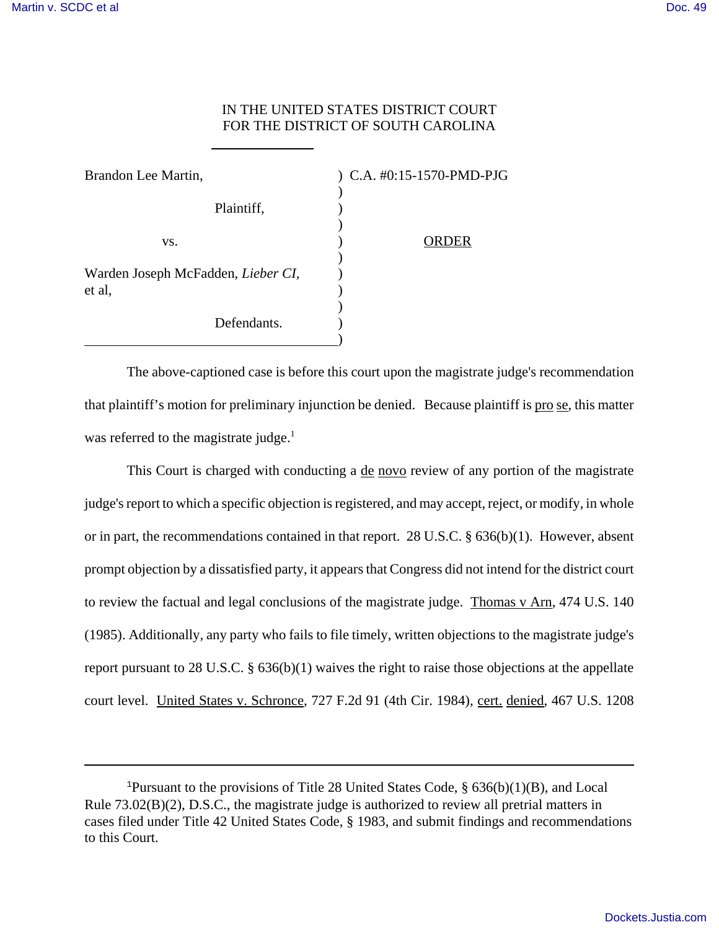## IN THE UNITED STATES DISTRICT COURT FOR THE DISTRICT OF SOUTH CAROLINA

| Brandon Lee Martin,                          | ) C.A. #0:15-1570-PMD-PJG |
|----------------------------------------------|---------------------------|
| Plaintiff,                                   |                           |
| VS.                                          | )ER                       |
| Warden Joseph McFadden, Lieber CI,<br>et al, |                           |
| Defendants.                                  |                           |

 $\overline{a}$ 

The above-captioned case is before this court upon the magistrate judge's recommendation that plaintiff's motion for preliminary injunction be denied. Because plaintiff is pro se, this matter was referred to the magistrate judge. $<sup>1</sup>$ </sup>

This Court is charged with conducting a <u>de novo</u> review of any portion of the magistrate judge's report to which a specific objection is registered, and may accept, reject, or modify, in whole or in part, the recommendations contained in that report. 28 U.S.C. § 636(b)(1). However, absent prompt objection by a dissatisfied party, it appears that Congress did not intend for the district court to review the factual and legal conclusions of the magistrate judge. Thomas v Arn, 474 U.S. 140 (1985). Additionally, any party who fails to file timely, written objections to the magistrate judge's report pursuant to 28 U.S.C. § 636(b)(1) waives the right to raise those objections at the appellate court level. United States v. Schronce, 727 F.2d 91 (4th Cir. 1984), cert. denied, 467 U.S. 1208

<sup>&</sup>lt;sup>1</sup>Pursuant to the provisions of Title 28 United States Code,  $\S$  636(b)(1)(B), and Local Rule 73.02(B)(2), D.S.C., the magistrate judge is authorized to review all pretrial matters in cases filed under Title 42 United States Code, § 1983, and submit findings and recommendations to this Court.